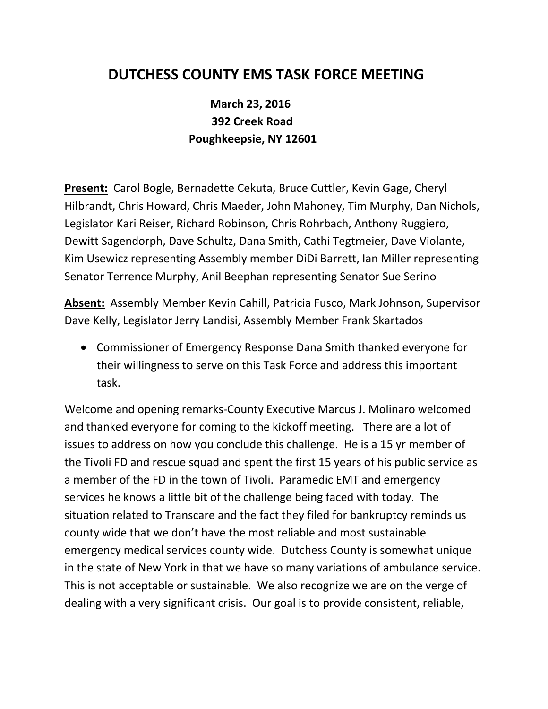## **DUTCHESS COUNTY EMS TASK FORCE MEETING**

## **March 23, 2016 392 Creek Road Poughkeepsie, NY 12601**

**Present:** Carol Bogle, Bernadette Cekuta, Bruce Cuttler, Kevin Gage, Cheryl Hilbrandt, Chris Howard, Chris Maeder, John Mahoney, Tim Murphy, Dan Nichols, Legislator Kari Reiser, Richard Robinson, Chris Rohrbach, Anthony Ruggiero, Dewitt Sagendorph, Dave Schultz, Dana Smith, Cathi Tegtmeier, Dave Violante, Kim Usewicz representing Assembly member DiDi Barrett, Ian Miller representing Senator Terrence Murphy, Anil Beephan representing Senator Sue Serino

**Absent:** Assembly Member Kevin Cahill, Patricia Fusco, Mark Johnson, Supervisor Dave Kelly, Legislator Jerry Landisi, Assembly Member Frank Skartados

 Commissioner of Emergency Response Dana Smith thanked everyone for their willingness to serve on this Task Force and address this important task.

Welcome and opening remarks-County Executive Marcus J. Molinaro welcomed and thanked everyone for coming to the kickoff meeting. There are a lot of issues to address on how you conclude this challenge. He is a 15 yr member of the Tivoli FD and rescue squad and spent the first 15 years of his public service as a member of the FD in the town of Tivoli. Paramedic EMT and emergency services he knows a little bit of the challenge being faced with today. The situation related to Transcare and the fact they filed for bankruptcy reminds us county wide that we don't have the most reliable and most sustainable emergency medical services county wide. Dutchess County is somewhat unique in the state of New York in that we have so many variations of ambulance service. This is not acceptable or sustainable. We also recognize we are on the verge of dealing with a very significant crisis. Our goal is to provide consistent, reliable,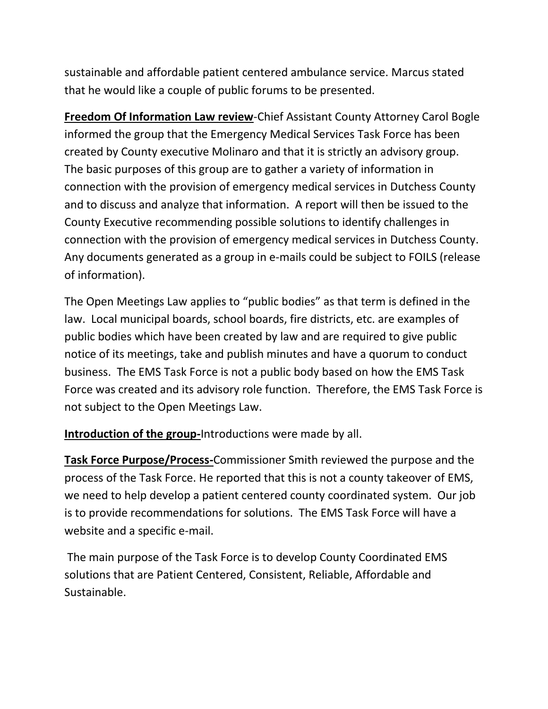sustainable and affordable patient centered ambulance service. Marcus stated that he would like a couple of public forums to be presented.

**Freedom Of Information Law review**-Chief Assistant County Attorney Carol Bogle informed the group that the Emergency Medical Services Task Force has been created by County executive Molinaro and that it is strictly an advisory group. The basic purposes of this group are to gather a variety of information in connection with the provision of emergency medical services in Dutchess County and to discuss and analyze that information. A report will then be issued to the County Executive recommending possible solutions to identify challenges in connection with the provision of emergency medical services in Dutchess County. Any documents generated as a group in e-mails could be subject to FOILS (release of information).

The Open Meetings Law applies to "public bodies" as that term is defined in the law. Local municipal boards, school boards, fire districts, etc. are examples of public bodies which have been created by law and are required to give public notice of its meetings, take and publish minutes and have a quorum to conduct business. The EMS Task Force is not a public body based on how the EMS Task Force was created and its advisory role function. Therefore, the EMS Task Force is not subject to the Open Meetings Law.

**Introduction of the group-**Introductions were made by all.

**Task Force Purpose/Process-**Commissioner Smith reviewed the purpose and the process of the Task Force. He reported that this is not a county takeover of EMS, we need to help develop a patient centered county coordinated system. Our job is to provide recommendations for solutions. The EMS Task Force will have a website and a specific e-mail.

The main purpose of the Task Force is to develop County Coordinated EMS solutions that are Patient Centered, Consistent, Reliable, Affordable and Sustainable.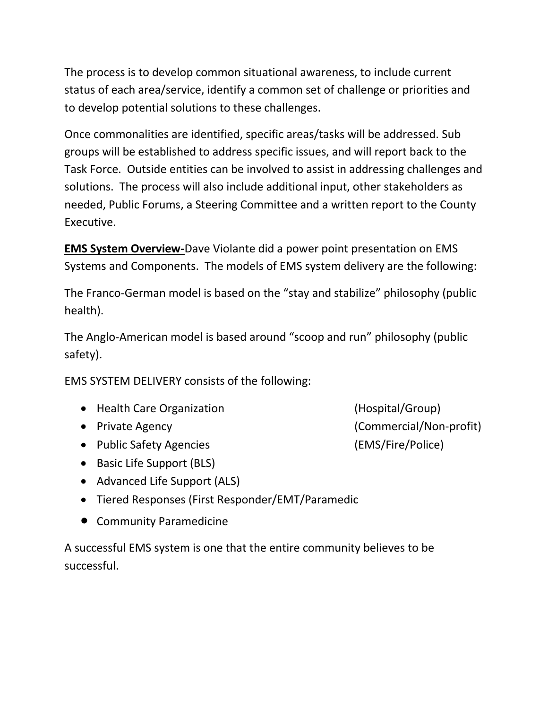The process is to develop common situational awareness, to include current status of each area/service, identify a common set of challenge or priorities and to develop potential solutions to these challenges.

Once commonalities are identified, specific areas/tasks will be addressed. Sub groups will be established to address specific issues, and will report back to the Task Force. Outside entities can be involved to assist in addressing challenges and solutions. The process will also include additional input, other stakeholders as needed, Public Forums, a Steering Committee and a written report to the County Executive.

**EMS System Overview-**Dave Violante did a power point presentation on EMS Systems and Components. The models of EMS system delivery are the following:

The Franco-German model is based on the "stay and stabilize" philosophy (public health).

The Anglo-American model is based around "scoop and run" philosophy (public safety).

EMS SYSTEM DELIVERY consists of the following:

- Health Care Organization **(Hospital/Group)**
- 
- Public Safety Agencies (EMS/Fire/Police)
- Basic Life Support (BLS)
- Advanced Life Support (ALS)
- Tiered Responses (First Responder/EMT/Paramedic
- Community Paramedicine

A successful EMS system is one that the entire community believes to be successful.

Private Agency (Commercial/Non-profit)